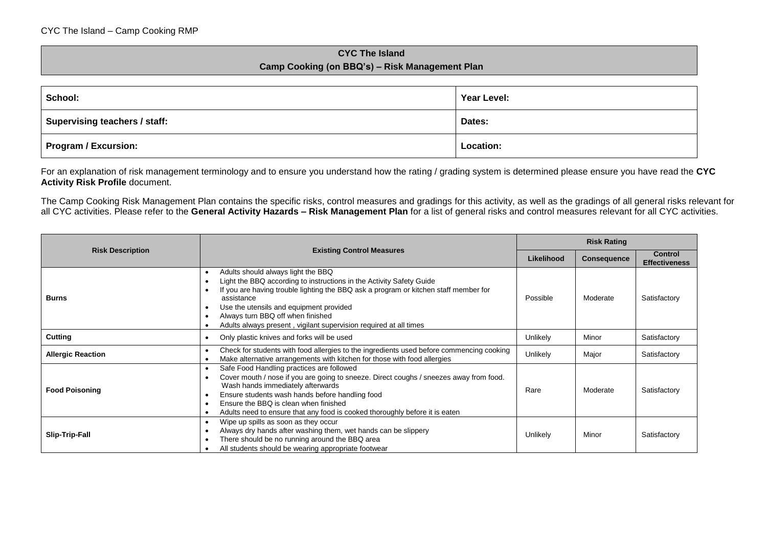## **CYC The Island Camp Cooking (on BBQ's) – Risk Management Plan**

| School:                       | Year Level: |
|-------------------------------|-------------|
| Supervising teachers / staff: | Dates:      |
| Program / Excursion:          | Location:   |

For an explanation of risk management terminology and to ensure you understand how the rating / grading system is determined please ensure you have read the **CYC Activity Risk Profile** document.

The Camp Cooking Risk Management Plan contains the specific risks, control measures and gradings for this activity, as well as the gradings of all general risks relevant for all CYC activities. Please refer to the **General Activity Hazards – Risk Management Plan** for a list of general risks and control measures relevant for all CYC activities.

|                          |                                                                                                                                                                                                                                                                                                                                                                       |            | <b>Risk Rating</b> |                                        |  |
|--------------------------|-----------------------------------------------------------------------------------------------------------------------------------------------------------------------------------------------------------------------------------------------------------------------------------------------------------------------------------------------------------------------|------------|--------------------|----------------------------------------|--|
| <b>Risk Description</b>  | <b>Existing Control Measures</b>                                                                                                                                                                                                                                                                                                                                      | Likelihood | <b>Consequence</b> | <b>Control</b><br><b>Effectiveness</b> |  |
| <b>Burns</b>             | Adults should always light the BBQ<br>Light the BBQ according to instructions in the Activity Safety Guide<br>If you are having trouble lighting the BBQ ask a program or kitchen staff member for<br>assistance<br>Use the utensils and equipment provided<br>Always turn BBQ off when finished<br>Adults always present, vigilant supervision required at all times | Possible   | Moderate           | Satisfactory                           |  |
| <b>Cutting</b>           | Only plastic knives and forks will be used                                                                                                                                                                                                                                                                                                                            | Unlikely   | Minor              | Satisfactory                           |  |
| <b>Allergic Reaction</b> | Check for students with food allergies to the ingredients used before commencing cooking<br>Make alternative arrangements with kitchen for those with food allergies                                                                                                                                                                                                  | Unlikely   | Major              | Satisfactory                           |  |
| <b>Food Poisoning</b>    | Safe Food Handling practices are followed<br>Cover mouth / nose if you are going to sneeze. Direct coughs / sneezes away from food.<br>Wash hands immediately afterwards<br>Ensure students wash hands before handling food<br>Ensure the BBQ is clean when finished<br>Adults need to ensure that any food is cooked thoroughly before it is eaten                   | Rare       | Moderate           | Satisfactory                           |  |
| <b>Slip-Trip-Fall</b>    | Wipe up spills as soon as they occur<br>Always dry hands after washing them, wet hands can be slippery<br>There should be no running around the BBQ area<br>All students should be wearing appropriate footwear                                                                                                                                                       | Unlikely   | Minor              | Satisfactory                           |  |